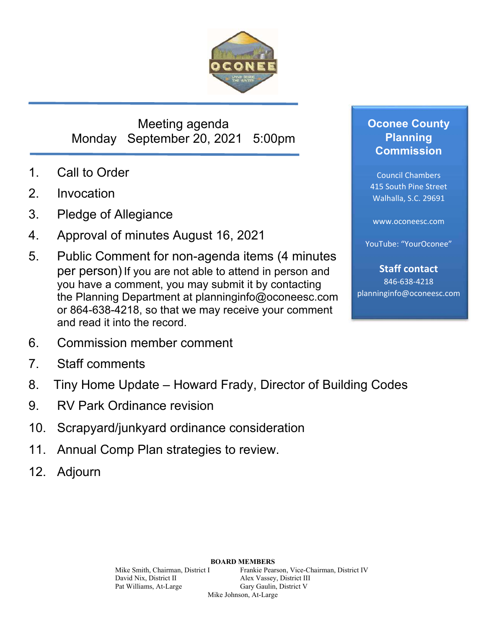

# Meeting agenda Monday September 20, 2021 5:00pm

- 1. Call to Order
- 2. Invocation
- 3. Pledge of Allegiance
- 4. Approval of minutes August 16, 2021
- 5. Public Comment for non-agenda items (4 minutes per person) If you are not able to attend in person and you have a comment, you may submit it by contacting the Planning Department at planninginfo@oconeesc.com or 864-638-4218, so that we may receive your comment and read it into the record.
- 6. Commission member comment
- 7. Staff comments
- 8. Tiny Home Update Howard Frady, Director of Building Codes
- 9. RV Park Ordinance revision
- 10. Scrapyard/junkyard ordinance consideration
- 11. Annual Comp Plan strategies to review.
- 12. Adjourn

# **Oconee County Planning Commission**

Council Chambers 415 South Pine Street Walhalla, S.C. 29691

www.oconeesc.com

YouTube: "YourOconee"

**Staff contact**  846‐638‐4218 planninginfo@oconeesc.com

Mike Smith, Chairman, District I Frankie Pearson, Vice-Chairman, District IV David Nix, District II Alex Vassey, District III Pat Williams, At-Large Gary Gaulin, District V Mike Johnson, At-Large

**BOARD MEMBERS**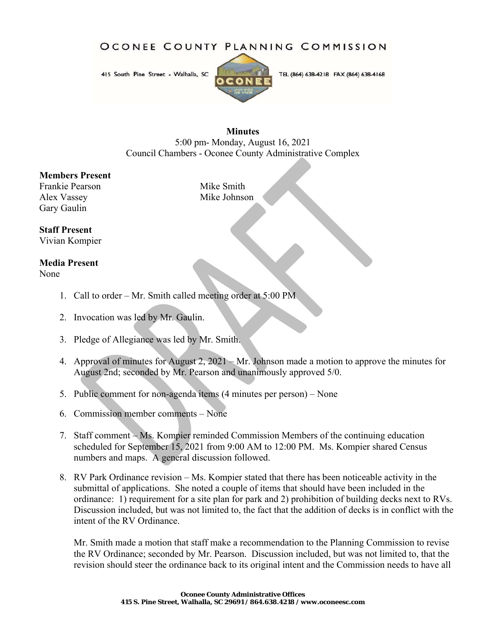OCONEE COUNTY PLANNING COMMISSION

415 South Pine Street - Walhalla, SC



TEL (864) 638-4218 FAX (864) 638-4168

## **Minutes**

5:00 pm- Monday, August 16, 2021 Council Chambers - Oconee County Administrative Complex

## **Members Present**

Frankie Pearson Mike Smith Alex Vassey Mike Johnson Gary Gaulin

# **Staff Present**

Vivian Kompier

# **Media Present**

None

- 1. Call to order Mr. Smith called meeting order at 5:00 PM
- 2. Invocation was led by Mr. Gaulin.
- 3. Pledge of Allegiance was led by Mr. Smith.
- 4. Approval of minutes for August 2, 2021 Mr. Johnson made a motion to approve the minutes for August 2nd; seconded by Mr. Pearson and unanimously approved 5/0.
- 5. Public comment for non-agenda items (4 minutes per person) None
- 6. Commission member comments None
- 7. Staff comment Ms. Kompier reminded Commission Members of the continuing education scheduled for September 15, 2021 from 9:00 AM to 12:00 PM. Ms. Kompier shared Census numbers and maps. A general discussion followed.
- 8. RV Park Ordinance revision Ms. Kompier stated that there has been noticeable activity in the submittal of applications. She noted a couple of items that should have been included in the ordinance: 1) requirement for a site plan for park and 2) prohibition of building decks next to RVs. Discussion included, but was not limited to, the fact that the addition of decks is in conflict with the intent of the RV Ordinance.

Mr. Smith made a motion that staff make a recommendation to the Planning Commission to revise the RV Ordinance; seconded by Mr. Pearson. Discussion included, but was not limited to, that the revision should steer the ordinance back to its original intent and the Commission needs to have all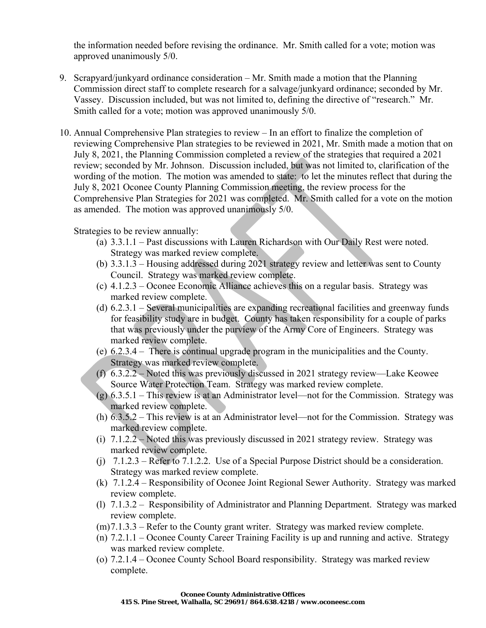the information needed before revising the ordinance. Mr. Smith called for a vote; motion was approved unanimously 5/0.

- 9. Scrapyard/junkyard ordinance consideration Mr. Smith made a motion that the Planning Commission direct staff to complete research for a salvage/junkyard ordinance; seconded by Mr. Vassey. Discussion included, but was not limited to, defining the directive of "research." Mr. Smith called for a vote; motion was approved unanimously 5/0.
- 10. Annual Comprehensive Plan strategies to review In an effort to finalize the completion of reviewing Comprehensive Plan strategies to be reviewed in 2021, Mr. Smith made a motion that on July 8, 2021, the Planning Commission completed a review of the strategies that required a 2021 review; seconded by Mr. Johnson. Discussion included, but was not limited to, clarification of the wording of the motion. The motion was amended to state: to let the minutes reflect that during the July 8, 2021 Oconee County Planning Commission meeting, the review process for the Comprehensive Plan Strategies for 2021 was completed. Mr. Smith called for a vote on the motion as amended. The motion was approved unanimously 5/0.

Strategies to be review annually:

- (a) 3.3.1.1 Past discussions with Lauren Richardson with Our Daily Rest were noted. Strategy was marked review complete.
- (b) 3.3.1.3 Housing addressed during 2021 strategy review and letter was sent to County Council. Strategy was marked review complete.
- (c) 4.1.2.3 Oconee Economic Alliance achieves this on a regular basis. Strategy was marked review complete.
- (d) 6.2.3.1 Several municipalities are expanding recreational facilities and greenway funds for feasibility study are in budget. County has taken responsibility for a couple of parks that was previously under the purview of the Army Core of Engineers. Strategy was marked review complete.
- (e) 6.2.3.4 There is continual upgrade program in the municipalities and the County. Strategy was marked review complete.
- (f) 6.3.2.2 Noted this was previously discussed in 2021 strategy review—Lake Keowee Source Water Protection Team. Strategy was marked review complete.
- (g) 6.3.5.1 This review is at an Administrator level—not for the Commission. Strategy was marked review complete.
- (h) 6.3.5.2 This review is at an Administrator level—not for the Commission. Strategy was marked review complete.
- (i)  $7.1.2.2 -$  Noted this was previously discussed in 2021 strategy review. Strategy was marked review complete.
- (j) 7.1.2.3 Refer to 7.1.2.2. Use of a Special Purpose District should be a consideration. Strategy was marked review complete.
- (k) 7.1.2.4 Responsibility of Oconee Joint Regional Sewer Authority. Strategy was marked review complete.
- (l) 7.1.3.2 Responsibility of Administrator and Planning Department. Strategy was marked review complete.
- $(m)7.1.3.3$  Refer to the County grant writer. Strategy was marked review complete.
- (n) 7.2.1.1 Oconee County Career Training Facility is up and running and active. Strategy was marked review complete.
- (o) 7.2.1.4 Oconee County School Board responsibility. Strategy was marked review complete.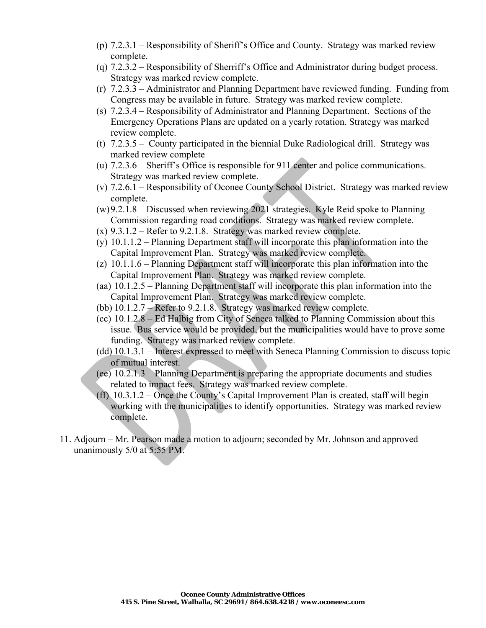- (p) 7.2.3.1 Responsibility of Sheriff's Office and County. Strategy was marked review complete.
- (q) 7.2.3.2 Responsibility of Sherriff's Office and Administrator during budget process. Strategy was marked review complete.
- (r) 7.2.3.3 Administrator and Planning Department have reviewed funding. Funding from Congress may be available in future. Strategy was marked review complete.
- (s) 7.2.3.4 Responsibility of Administrator and Planning Department. Sections of the Emergency Operations Plans are updated on a yearly rotation. Strategy was marked review complete.
- (t) 7.2.3.5 County participated in the biennial Duke Radiological drill. Strategy was marked review complete
- (u) 7.2.3.6 Sheriff's Office is responsible for 911 center and police communications. Strategy was marked review complete.
- (v) 7.2.6.1 Responsibility of Oconee County School District. Strategy was marked review complete.
- $(w)9.2.1.8 Discussed when reviewing 2021 strategies. Kyle Reid spoke to Planning$ Commission regarding road conditions. Strategy was marked review complete.
- $(x)$  9.3.1.2 Refer to 9.2.1.8. Strategy was marked review complete.
- (y) 10.1.1.2 Planning Department staff will incorporate this plan information into the Capital Improvement Plan. Strategy was marked review complete.
- (z) 10.1.1.6 Planning Department staff will incorporate this plan information into the Capital Improvement Plan. Strategy was marked review complete.
- (aa) 10.1.2.5 Planning Department staff will incorporate this plan information into the Capital Improvement Plan. Strategy was marked review complete.
- (bb) 10.1.2.7 Refer to 9.2.1.8. Strategy was marked review complete.
- (cc) 10.1.2.8 Ed Halbig from City of Seneca talked to Planning Commission about this issue. Bus service would be provided, but the municipalities would have to prove some funding. Strategy was marked review complete.
- (dd) 10.1.3.1 Interest expressed to meet with Seneca Planning Commission to discuss topic of mutual interest.
- (ee) 10.2.1.3 Planning Department is preparing the appropriate documents and studies related to impact fees. Strategy was marked review complete.
- (ff) 10.3.1.2 Once the County's Capital Improvement Plan is created, staff will begin working with the municipalities to identify opportunities. Strategy was marked review complete.
- 11. Adjourn Mr. Pearson made a motion to adjourn; seconded by Mr. Johnson and approved unanimously 5/0 at 5:55 PM.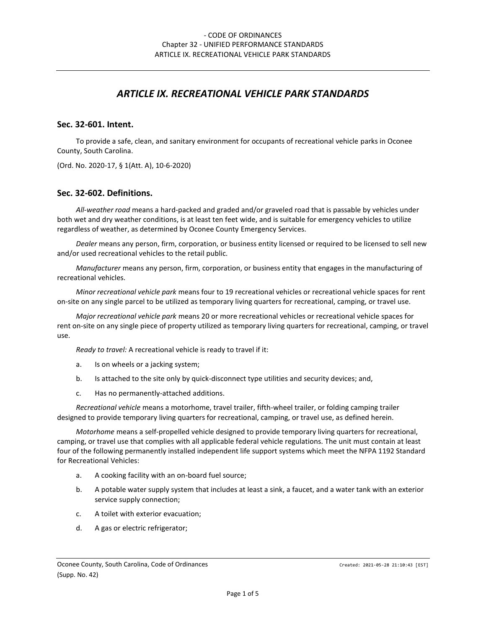# *ARTICLE IX. RECREATIONAL VEHICLE PARK STANDARDS*

#### **Sec. 32-601. Intent.**

To provide a safe, clean, and sanitary environment for occupants of recreational vehicle parks in Oconee County, South Carolina.

(Ord. No. 2020-17, § 1(Att. A), 10-6-2020)

#### **Sec. 32-602. Definitions.**

*All-weather road* means a hard-packed and graded and/or graveled road that is passable by vehicles under both wet and dry weather conditions, is at least ten feet wide, and is suitable for emergency vehicles to utilize regardless of weather, as determined by Oconee County Emergency Services.

*Dealer* means any person, firm, corporation, or business entity licensed or required to be licensed to sell new and/or used recreational vehicles to the retail public.

*Manufacturer* means any person, firm, corporation, or business entity that engages in the manufacturing of recreational vehicles.

*Minor recreational vehicle park* means four to 19 recreational vehicles or recreational vehicle spaces for rent on-site on any single parcel to be utilized as temporary living quarters for recreational, camping, or travel use.

*Major recreational vehicle park* means 20 or more recreational vehicles or recreational vehicle spaces for rent on-site on any single piece of property utilized as temporary living quarters for recreational, camping, or travel use.

*Ready to travel:* A recreational vehicle is ready to travel if it:

- a. Is on wheels or a jacking system;
- b. Is attached to the site only by quick-disconnect type utilities and security devices; and,
- c. Has no permanently-attached additions.

*Recreational vehicle* means a motorhome, travel trailer, fifth-wheel trailer, or folding camping trailer designed to provide temporary living quarters for recreational, camping, or travel use, as defined herein.

*Motorhome* means a self-propelled vehicle designed to provide temporary living quarters for recreational, camping, or travel use that complies with all applicable federal vehicle regulations. The unit must contain at least four of the following permanently installed independent life support systems which meet the NFPA 1192 Standard for Recreational Vehicles:

- a. A cooking facility with an on-board fuel source;
- b. A potable water supply system that includes at least a sink, a faucet, and a water tank with an exterior service supply connection;
- c. A toilet with exterior evacuation;
- d. A gas or electric refrigerator;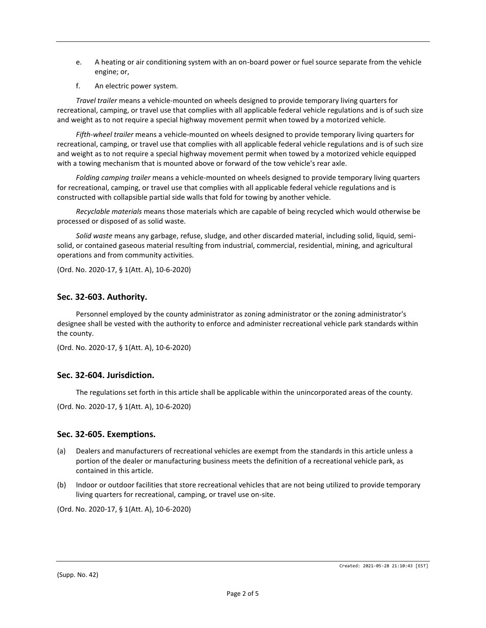- e. A heating or air conditioning system with an on-board power or fuel source separate from the vehicle engine; or,
- f. An electric power system.

*Travel trailer* means a vehicle-mounted on wheels designed to provide temporary living quarters for recreational, camping, or travel use that complies with all applicable federal vehicle regulations and is of such size and weight as to not require a special highway movement permit when towed by a motorized vehicle.

*Fifth-wheel trailer* means a vehicle-mounted on wheels designed to provide temporary living quarters for recreational, camping, or travel use that complies with all applicable federal vehicle regulations and is of such size and weight as to not require a special highway movement permit when towed by a motorized vehicle equipped with a towing mechanism that is mounted above or forward of the tow vehicle's rear axle.

*Folding camping trailer* means a vehicle-mounted on wheels designed to provide temporary living quarters for recreational, camping, or travel use that complies with all applicable federal vehicle regulations and is constructed with collapsible partial side walls that fold for towing by another vehicle.

*Recyclable materials* means those materials which are capable of being recycled which would otherwise be processed or disposed of as solid waste.

*Solid waste* means any garbage, refuse, sludge, and other discarded material, including solid, liquid, semisolid, or contained gaseous material resulting from industrial, commercial, residential, mining, and agricultural operations and from community activities.

(Ord. No. 2020-17, § 1(Att. A), 10-6-2020)

#### **Sec. 32-603. Authority.**

Personnel employed by the county administrator as zoning administrator or the zoning administrator's designee shall be vested with the authority to enforce and administer recreational vehicle park standards within the county.

(Ord. No. 2020-17, § 1(Att. A), 10-6-2020)

#### **Sec. 32-604. Jurisdiction.**

The regulations set forth in this article shall be applicable within the unincorporated areas of the county.

(Ord. No. 2020-17, § 1(Att. A), 10-6-2020)

#### **Sec. 32-605. Exemptions.**

- (a) Dealers and manufacturers of recreational vehicles are exempt from the standards in this article unless a portion of the dealer or manufacturing business meets the definition of a recreational vehicle park, as contained in this article.
- (b) Indoor or outdoor facilities that store recreational vehicles that are not being utilized to provide temporary living quarters for recreational, camping, or travel use on-site.

(Ord. No. 2020-17, § 1(Att. A), 10-6-2020)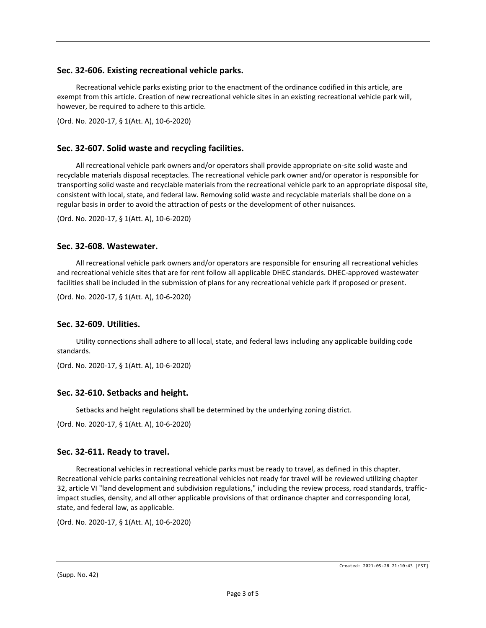## **Sec. 32-606. Existing recreational vehicle parks.**

Recreational vehicle parks existing prior to the enactment of the ordinance codified in this article, are exempt from this article. Creation of new recreational vehicle sites in an existing recreational vehicle park will, however, be required to adhere to this article.

(Ord. No. 2020-17, § 1(Att. A), 10-6-2020)

## **Sec. 32-607. Solid waste and recycling facilities.**

All recreational vehicle park owners and/or operators shall provide appropriate on-site solid waste and recyclable materials disposal receptacles. The recreational vehicle park owner and/or operator is responsible for transporting solid waste and recyclable materials from the recreational vehicle park to an appropriate disposal site, consistent with local, state, and federal law. Removing solid waste and recyclable materials shall be done on a regular basis in order to avoid the attraction of pests or the development of other nuisances.

(Ord. No. 2020-17, § 1(Att. A), 10-6-2020)

## **Sec. 32-608. Wastewater.**

All recreational vehicle park owners and/or operators are responsible for ensuring all recreational vehicles and recreational vehicle sites that are for rent follow all applicable DHEC standards. DHEC-approved wastewater facilities shall be included in the submission of plans for any recreational vehicle park if proposed or present.

(Ord. No. 2020-17, § 1(Att. A), 10-6-2020)

#### **Sec. 32-609. Utilities.**

Utility connections shall adhere to all local, state, and federal laws including any applicable building code standards.

(Ord. No. 2020-17, § 1(Att. A), 10-6-2020)

#### **Sec. 32-610. Setbacks and height.**

Setbacks and height regulations shall be determined by the underlying zoning district.

(Ord. No. 2020-17, § 1(Att. A), 10-6-2020)

#### **Sec. 32-611. Ready to travel.**

Recreational vehicles in recreational vehicle parks must be ready to travel, as defined in this chapter. Recreational vehicle parks containing recreational vehicles not ready for travel will be reviewed utilizing chapter 32, article VI "land development and subdivision regulations," including the review process, road standards, trafficimpact studies, density, and all other applicable provisions of that ordinance chapter and corresponding local, state, and federal law, as applicable.

(Ord. No. 2020-17, § 1(Att. A), 10-6-2020)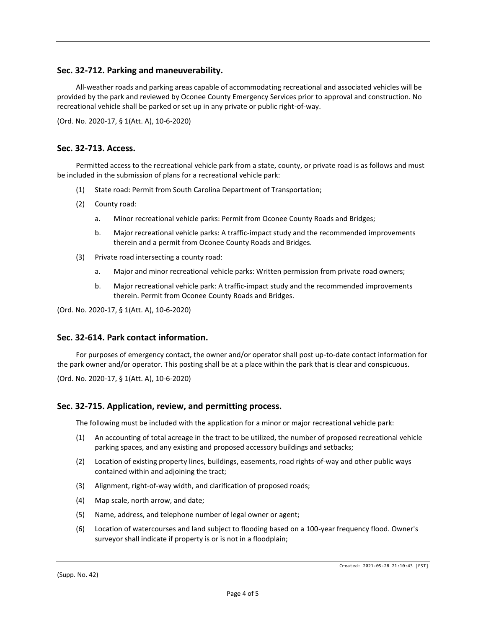## **Sec. 32-712. Parking and maneuverability.**

All-weather roads and parking areas capable of accommodating recreational and associated vehicles will be provided by the park and reviewed by Oconee County Emergency Services prior to approval and construction. No recreational vehicle shall be parked or set up in any private or public right-of-way.

(Ord. No. 2020-17, § 1(Att. A), 10-6-2020)

## **Sec. 32-713. Access.**

Permitted access to the recreational vehicle park from a state, county, or private road is as follows and must be included in the submission of plans for a recreational vehicle park:

- (1) State road: Permit from South Carolina Department of Transportation;
- (2) County road:
	- a. Minor recreational vehicle parks: Permit from Oconee County Roads and Bridges;
	- b. Major recreational vehicle parks: A traffic-impact study and the recommended improvements therein and a permit from Oconee County Roads and Bridges.
- (3) Private road intersecting a county road:
	- a. Major and minor recreational vehicle parks: Written permission from private road owners;
	- b. Major recreational vehicle park: A traffic-impact study and the recommended improvements therein. Permit from Oconee County Roads and Bridges.

(Ord. No. 2020-17, § 1(Att. A), 10-6-2020)

#### **Sec. 32-614. Park contact information.**

For purposes of emergency contact, the owner and/or operator shall post up-to-date contact information for the park owner and/or operator. This posting shall be at a place within the park that is clear and conspicuous.

(Ord. No. 2020-17, § 1(Att. A), 10-6-2020)

#### **Sec. 32-715. Application, review, and permitting process.**

The following must be included with the application for a minor or major recreational vehicle park:

- (1) An accounting of total acreage in the tract to be utilized, the number of proposed recreational vehicle parking spaces, and any existing and proposed accessory buildings and setbacks;
- (2) Location of existing property lines, buildings, easements, road rights-of-way and other public ways contained within and adjoining the tract;
- (3) Alignment, right-of-way width, and clarification of proposed roads;
- (4) Map scale, north arrow, and date;
- (5) Name, address, and telephone number of legal owner or agent;
- (6) Location of watercourses and land subject to flooding based on a 100-year frequency flood. Owner's surveyor shall indicate if property is or is not in a floodplain;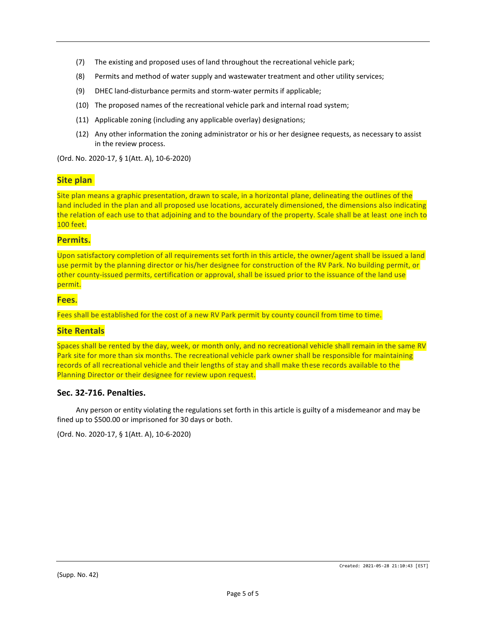- (7) The existing and proposed uses of land throughout the recreational vehicle park;
- (8) Permits and method of water supply and wastewater treatment and other utility services;
- (9) DHEC land-disturbance permits and storm-water permits if applicable;
- (10) The proposed names of the recreational vehicle park and internal road system;
- (11) Applicable zoning (including any applicable overlay) designations;
- (12) Any other information the zoning administrator or his or her designee requests, as necessary to assist in the review process.

(Ord. No. 2020-17, § 1(Att. A), 10-6-2020)

## **Site plan**

Site plan means a graphic presentation, drawn to scale, in a horizontal plane, delineating the outlines of the land included in the plan and all proposed use locations, accurately dimensioned, the dimensions also indicating the relation of each use to that adjoining and to the boundary of the property. Scale shall be at least one inch to 100 feet.

#### **Permits.**

Upon satisfactory completion of all requirements set forth in this article, the owner/agent shall be issued a land use permit by the planning director or his/her designee for construction of the RV Park. No building permit, or other county-issued permits, certification or approval, shall be issued prior to the issuance of the land use permit.

#### **Fees.**

Fees shall be established for the cost of a new RV Park permit by county council from time to time.

## **Site Rentals**

Spaces shall be rented by the day, week, or month only, and no recreational vehicle shall remain in the same RV Park site for more than six months. The recreational vehicle park owner shall be responsible for maintaining records of all recreational vehicle and their lengths of stay and shall make these records available to the Planning Director or their designee for review upon request.

## **Sec. 32-716. Penalties.**

Any person or entity violating the regulations set forth in this article is guilty of a misdemeanor and may be fined up to \$500.00 or imprisoned for 30 days or both.

(Ord. No. 2020-17, § 1(Att. A), 10-6-2020)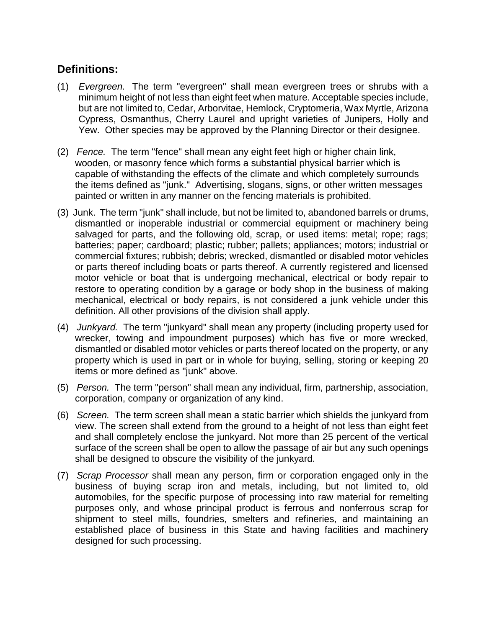# **Definitions:**

- (1) *Evergreen.* The term "evergreen" shall mean evergreen trees or shrubs with a minimum height of not less than eight feet when mature. Acceptable species include, but are not limited to, Cedar, Arborvitae, Hemlock, Cryptomeria, Wax Myrtle, Arizona Cypress, Osmanthus, Cherry Laurel and upright varieties of Junipers, Holly and Yew. Other species may be approved by the Planning Director or their designee.
- (2) *Fence.* The term "fence" shall mean any eight feet high or higher chain link, wooden, or masonry fence which forms a substantial physical barrier which is capable of withstanding the effects of the climate and which completely surrounds the items defined as "junk." Advertising, slogans, signs, or other written messages painted or written in any manner on the fencing materials is prohibited.
- (3) Junk. The term "junk" shall include, but not be limited to, abandoned barrels or drums, dismantled or inoperable industrial or commercial equipment or machinery being salvaged for parts, and the following old, scrap, or used items: metal; rope; rags; batteries; paper; cardboard; plastic; rubber; pallets; appliances; motors; industrial or commercial fixtures; rubbish; debris; wrecked, dismantled or disabled motor vehicles or parts thereof including boats or parts thereof. A currently registered and licensed motor vehicle or boat that is undergoing mechanical, electrical or body repair to restore to operating condition by a garage or body shop in the business of making mechanical, electrical or body repairs, is not considered a junk vehicle under this definition. All other provisions of the division shall apply.
- (4) *Junkyard.* The term "junkyard" shall mean any property (including property used for wrecker, towing and impoundment purposes) which has five or more wrecked, dismantled or disabled motor vehicles or parts thereof located on the property, or any property which is used in part or in whole for buying, selling, storing or keeping 20 items or more defined as "junk" above.
- (5) *Person.* The term "person" shall mean any individual, firm, partnership, association, corporation, company or organization of any kind.
- (6) *Screen.* The term screen shall mean a static barrier which shields the junkyard from view. The screen shall extend from the ground to a height of not less than eight feet and shall completely enclose the junkyard. Not more than 25 percent of the vertical surface of the screen shall be open to allow the passage of air but any such openings shall be designed to obscure the visibility of the junkyard.
- (7) *Scrap Processor* shall mean any person, firm or corporation engaged only in the business of buying scrap iron and metals, including, but not limited to, old automobiles, for the specific purpose of processing into raw material for remelting purposes only, and whose principal product is ferrous and nonferrous scrap for shipment to steel mills, foundries, smelters and refineries, and maintaining an established place of business in this State and having facilities and machinery designed for such processing.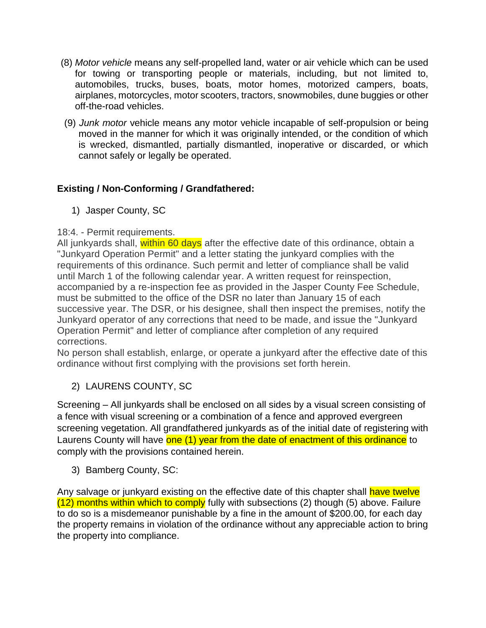- (8) *Motor vehicle* means any self-propelled land, water or air vehicle which can be used for towing or transporting people or materials, including, but not limited to, automobiles, trucks, buses, boats, motor homes, motorized campers, boats, airplanes, motorcycles, motor scooters, tractors, snowmobiles, dune buggies or other off-the-road vehicles.
- (9) *Junk motor* vehicle means any motor vehicle incapable of self-propulsion or being moved in the manner for which it was originally intended, or the condition of which is wrecked, dismantled, partially dismantled, inoperative or discarded, or which cannot safely or legally be operated.

# **Existing / Non-Conforming / Grandfathered:**

1) Jasper County, SC

# 18:4. - Permit requirements.

All junkyards shall, within 60 days after the effective date of this ordinance, obtain a "Junkyard Operation Permit" and a letter stating the junkyard complies with the requirements of this ordinance. Such permit and letter of compliance shall be valid until March 1 of the following calendar year. A written request for reinspection, accompanied by a re-inspection fee as provided in the Jasper County Fee Schedule, must be submitted to the office of the DSR no later than January 15 of each successive year. The DSR, or his designee, shall then inspect the premises, notify the Junkyard operator of any corrections that need to be made, and issue the "Junkyard Operation Permit" and letter of compliance after completion of any required corrections.

No person shall establish, enlarge, or operate a junkyard after the effective date of this ordinance without first complying with the provisions set forth herein.

# 2) LAURENS COUNTY, SC

Screening – All junkyards shall be enclosed on all sides by a visual screen consisting of a fence with visual screening or a combination of a fence and approved evergreen screening vegetation. All grandfathered junkyards as of the initial date of registering with Laurens County will have one (1) year from the date of enactment of this ordinance to comply with the provisions contained herein.

3) Bamberg County, SC:

Any salvage or junkyard existing on the effective date of this chapter shall have twelve (12) months within which to comply fully with subsections (2) though (5) above. Failure to do so is a misdemeanor punishable by a fine in the amount of \$200.00, for each day the property remains in violation of the ordinance without any appreciable action to bring the property into compliance.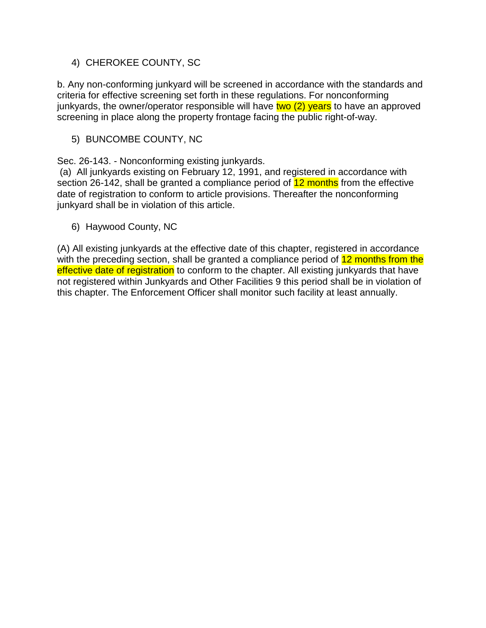# 4) CHEROKEE COUNTY, SC

b. Any non-conforming junkyard will be screened in accordance with the standards and criteria for effective screening set forth in these regulations. For nonconforming junkyards, the owner/operator responsible will have two (2) years to have an approved screening in place along the property frontage facing the public right-of-way.

5) BUNCOMBE COUNTY, NC

Sec. 26-143. - Nonconforming existing junkyards.

(a) All junkyards existing on February 12, 1991, and registered in accordance with section 26-142, shall be granted a compliance period of 12 months from the effective date of registration to conform to article provisions. Thereafter the nonconforming junkyard shall be in violation of this article.

6) Haywood County, NC

(A) All existing junkyards at the effective date of this chapter, registered in accordance with the preceding section, shall be granted a compliance period of 12 months from the effective date of registration to conform to the chapter. All existing junkyards that have not registered within Junkyards and Other Facilities 9 this period shall be in violation of this chapter. The Enforcement Officer shall monitor such facility at least annually.